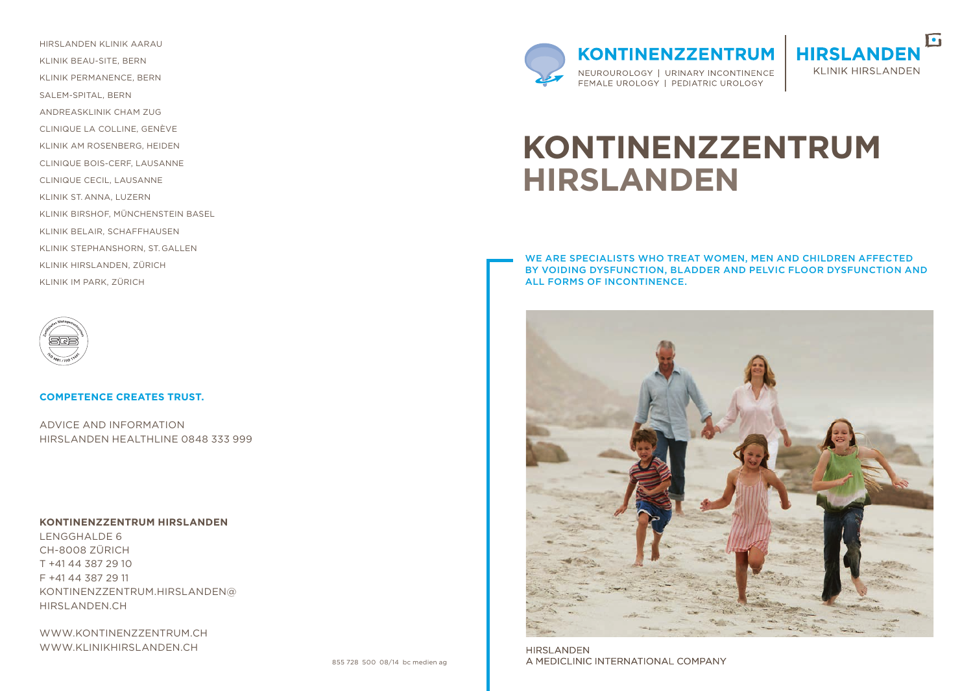hirslanden klinik Aarau klinik Beau-Site, Bern klinik Permanence, Bern Salem-Spital, Bern AndreasKlinik Cham Zug Clinique la colline, genève Klinik Am Rosenberg, Heiden clinique Bois-Cerf, Lausanne clinique Cecil, Lausanne klinik St. Anna, Luzern klinik Birshof, Münchenstein Basel klinik Belair, Schaffhausen klinik Stephanshorn, St. Gallen klinik Hirslanden, Zürich klinik Im Park, Zürich



#### **Competence creates trust.**

Advice and Information HIRSLANDEN HEALTHLINE 0848 333 999

#### **KontinenzZentrum Hirslanden**

Lengghalde 6 CH-8008 Zürich T +41 44 387 29 10 F +41 44 387 29 11 kontinenzz entrum.hirslanden@ hirslanden.ch

www.kontinenzz entrum.ch WWW.KLINIKHIRSLANDEN.CH



 $\blacksquare$ **HIRSLANDEI KLINIK HIRSLANDEN** 

# **KontinenzZentrum Hirslanden**

We are specialists who treat women, men and children affected by voiding dysfunction, bladder and pelvic floor dysfunction and all forms of incontinence.



**HIRSLANDEN** A MEDICLINIC INTERNATIONAL COMPANY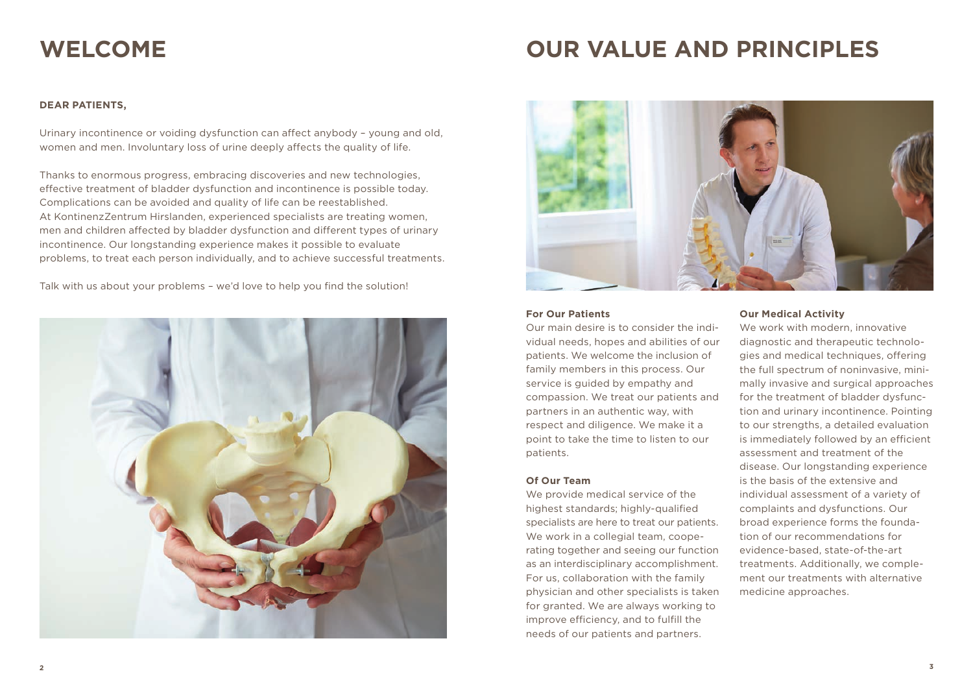## **Welcome**

## **Our Value and Principles**

### **Dear Patients,**

Urinary incontinence or voiding dysfunction can affect anybody – young and old, women and men. Involuntary loss of urine deeply affects the quality of life.

Thanks to enormous progress, embracing discoveries and new technologies, effective treatment of bladder dysfunction and incontinence is possible today. Complications can be avoided and quality of life can be reestablished. At KontinenzZentrum Hirslanden, experienced specialists are treating women, men and children affected by bladder dysfunction and different types of urinary incontinence. Our longstanding experience makes it possible to evaluate problems, to treat each person individually, and to achieve successful treatments.

Talk with us about your problems – we'd love to help you find the solution!





#### **For Our Patients**

Our main desire is to consider the individual needs, hopes and abilities of our patients. We welcome the inclusion of family members in this process. Our service is guided by empathy and compassion. We treat our patients and partners in an authentic way, with respect and diligence. We make it a point to take the time to listen to our patients.

#### **Of Our Team**

We provide medical service of the highest standards; highly-qualified specialists are here to treat our patients. We work in a collegial team, cooperating together and seeing our function as an interdisciplinary accomplishment. For us, collaboration with the family physician and other specialists is taken for granted. We are always working to improve efficiency, and to fulfill the needs of our patients and partners.

#### **Our Medical Activity**

We work with modern, innovative diagnostic and therapeutic technologies and medical techniques, offering the full spectrum of noninvasive, minimally invasive and surgical approaches for the treatment of bladder dysfunction and urinary incontinence. Pointing to our strengths, a detailed evaluation is immediately followed by an efficient assessment and treatment of the disease. Our longstanding experience is the basis of the extensive and individual assessment of a variety of complaints and dysfunctions. Our broad experience forms the foundation of our recommendations for evidence-based, state-of-the-art treatments. Additionally, we complement our treatments with alternative medicine approaches.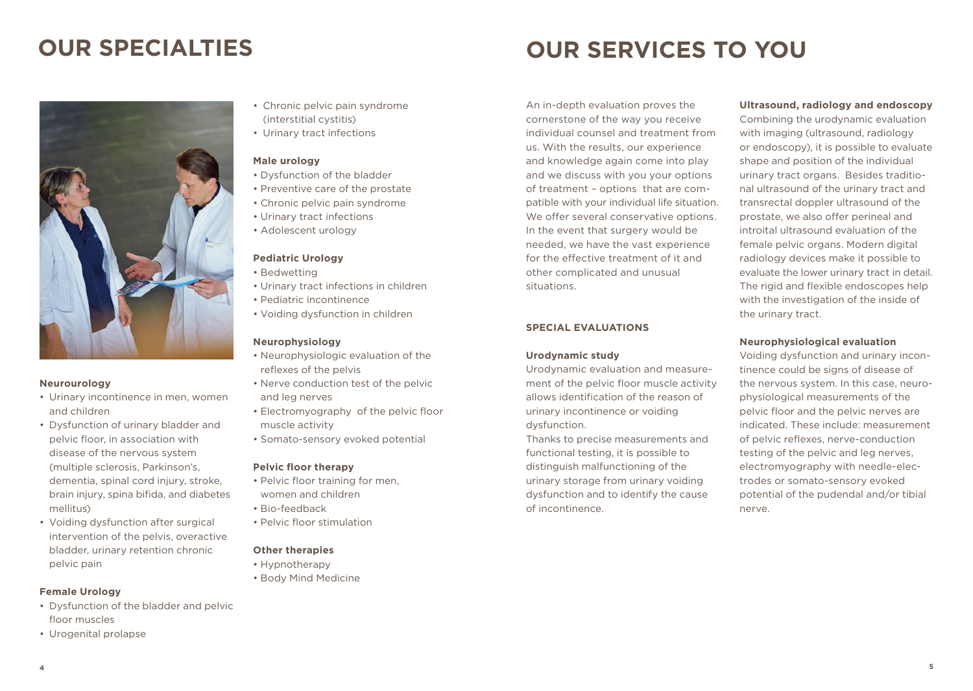### **Our Specialties**



#### **Neurourology**

- Urinary incontinence in men, women and children
- • Dysfunction of urinary bladder and pelvic floor, in association with disease of the nervous system (multiple sclerosis, Parkinson's, dementia, spinal cord injury, stroke, brain injury, spina bifida, and diabetes mellitus)
- Voiding dysfunction after surgical intervention of the pelvis, overactive bladder, urinary retention chronic pelvic pain

#### **Female Urology**

- • Dysfunction of the bladder and pelvic floor muscles
- • Urogenital prolapse
- Chronic pelvic pain syndrome (interstitial cystitis)
- • Urinary tract infections

#### **Male urology**

- Dysfunction of the bladder
- Preventive care of the prostate
- Chronic pelvic pain syndrome
- Urinary tract infections
- Adolescent urology

#### **Pediatric Urology**

- Bedwetting
- Urinary tract infections in children
- Pediatric incontinence
- Voiding dysfunction in children

#### **Neurophysiology**

- Neurophysiologic evaluation of the reflexes of the pelvis
- Nerve conduction test of the pelvic and leg nerves
- Electromyography of the pelvic floor muscle activity
- Somato-sensory evoked potential

#### **Pelvic floor therapy**

- Pelvic floor training for men, women and children
- Bio-feedback
- Pelvic floor stimulation

#### **Other therapies**

- Hypnotherapy
- Body Mind Medicine

An in-depth evaluation proves the cornerstone of the way you receive individual counsel and treatment from us. With the results, our experience and knowledge again come into play and we discuss with you your options of treatment – options that are compatible with your individual life situation. We offer several conservative options. In the event that surgery would be needed, we have the vast experience for the effective treatment of it and other complicated and unusual situations.

**Our Services to You**

#### **Special Evaluations**

#### **Urodynamic study**

Urodynamic evaluation and measurement of the pelvic floor muscle activity allows identification of the reason of urinary incontinence or voiding dysfunction.

Thanks to precise measurements and functional testing, it is possible to distinguish malfunctioning of the urinary storage from urinary voiding dysfunction and to identify the cause of incontinence.

### **Ultrasound, radiology and endoscopy**

Combining the urodynamic evaluation with imaging (ultrasound, radiology or endoscopy), it is possible to evaluate shape and position of the individual urinary tract organs. Besides traditional ultrasound of the urinary tract and transrectal doppler ultrasound of the prostate, we also offer perineal and introital ultrasound evaluation of the female pelvic organs. Modern digital radiology devices make it possible to evaluate the lower urinary tract in detail. The rigid and flexible endoscopes help with the investigation of the inside of the urinary tract.

#### **Neurophysiological evaluation**

Voiding dysfunction and urinary incontinence could be signs of disease of the nervous system. In this case, neurophysiological measurements of the pelvic floor and the pelvic nerves are indicated. These include: measurement of pelvic reflexes, nerve-conduction testing of the pelvic and leg nerves, electromyography with needle-electrodes or somato-sensory evoked potential of the pudendal and/or tibial nerve.